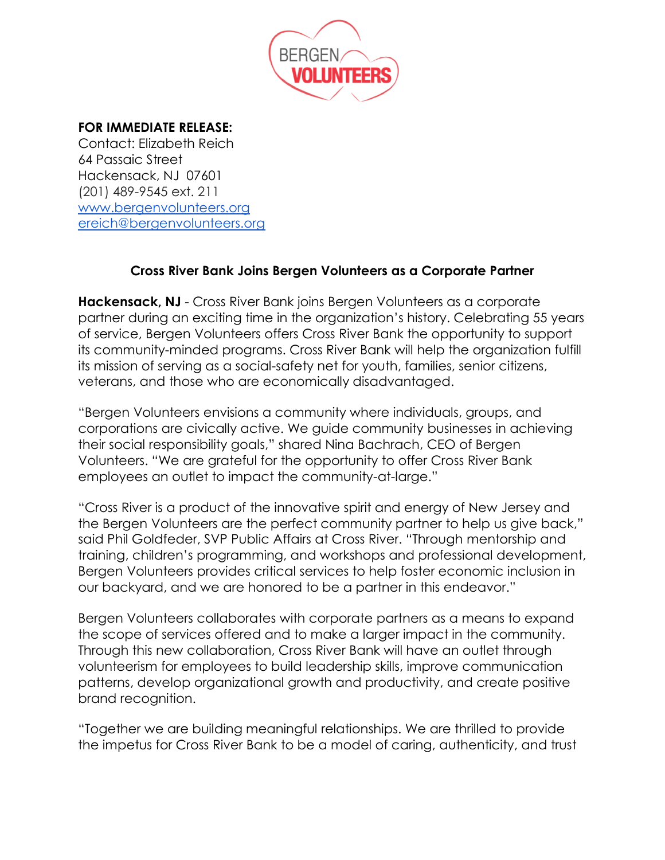

## **FOR IMMEDIATE RELEASE:**

Contact: Elizabeth Reich 64 Passaic Street Hackensack, NJ 07601 (201) 489-9545 ext. 211 [www.bergenvolunteers.org](http://www.bergenvolunteers.org/) [ereich@bergenvolunteers.org](mailto:ereich@bergenvolunteers.org)

## **Cross River Bank Joins Bergen Volunteers as a Corporate Partner**

**Hackensack, NJ** - Cross River Bank joins Bergen Volunteers as a corporate partner during an exciting time in the organization's history. Celebrating 55 years of service, Bergen Volunteers offers Cross River Bank the opportunity to support its community-minded programs. Cross River Bank will help the organization fulfill its mission of serving as a social-safety net for youth, families, senior citizens, veterans, and those who are economically disadvantaged.

"Bergen Volunteers envisions a community where individuals, groups, and corporations are civically active. We guide community businesses in achieving their social responsibility goals," shared Nina Bachrach, CEO of Bergen Volunteers. "We are grateful for the opportunity to offer Cross River Bank employees an outlet to impact the community-at-large."

"Cross River is a product of the innovative spirit and energy of New Jersey and the Bergen Volunteers are the perfect community partner to help us give back," said Phil Goldfeder, SVP Public Affairs at Cross River. "Through mentorship and training, children's programming, and workshops and professional development, Bergen Volunteers provides critical services to help foster economic inclusion in our backyard, and we are honored to be a partner in this endeavor."

Bergen Volunteers collaborates with corporate partners as a means to expand the scope of services offered and to make a larger impact in the community. Through this new collaboration, Cross River Bank will have an outlet through volunteerism for employees to build leadership skills, improve communication patterns, develop organizational growth and productivity, and create positive brand recognition.

"Together we are building meaningful relationships. We are thrilled to provide the impetus for Cross River Bank to be a model of caring, authenticity, and trust